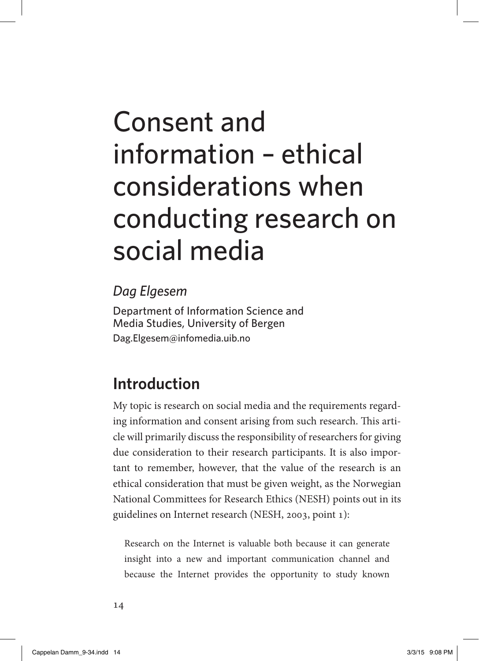# Consent and information – ethical considerations when conducting research on social media

#### *Dag Elgesem*

Department of Information Science and Media Studies, University of Bergen [Dag.Elgesem@infomedia.uib.no](mailto:Dag.Elgesem@infomedia.uib.no)

# **Introduction**

My topic is research on social media and the requirements regarding information and consent arising from such research. This article will primarily discuss the responsibility of researchers for giving due consideration to their research participants. It is also important to remember, however, that the value of the research is an ethical consideration that must be given weight, as the Norwegian National Committees for Research Ethics (NESH) points out in its guidelines on Internet research (NESH, 2003, point 1):

Research on the Internet is valuable both because it can generate insight into a new and important communication channel and because the Internet provides the opportunity to study known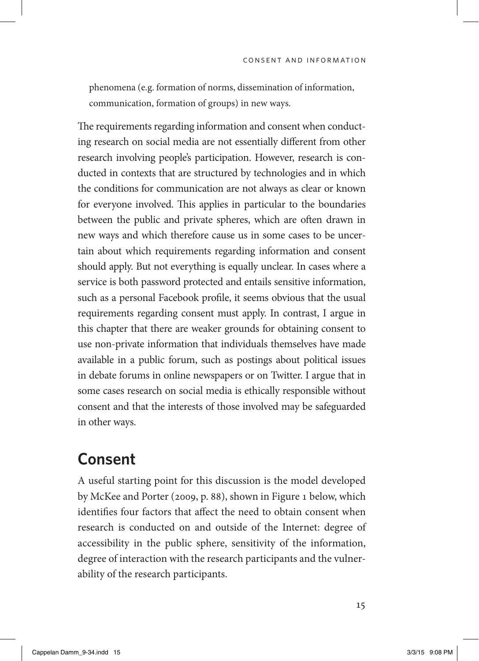phenomena (e.g. formation of norms, dissemination of information, communication, formation of groups) in new ways.

The requirements regarding information and consent when conducting research on social media are not essentially different from other research involving people's participation. However, research is conducted in contexts that are structured by technologies and in which the conditions for communication are not always as clear or known for everyone involved. This applies in particular to the boundaries between the public and private spheres, which are often drawn in new ways and which therefore cause us in some cases to be uncertain about which requirements regarding information and consent should apply. But not everything is equally unclear. In cases where a service is both password protected and entails sensitive information, such as a personal Facebook profile, it seems obvious that the usual requirements regarding consent must apply. In contrast, I argue in this chapter that there are weaker grounds for obtaining consent to use non-private information that individuals themselves have made available in a public forum, such as postings about political issues in debate forums in online newspapers or on Twitter. I argue that in some cases research on social media is ethically responsible without consent and that the interests of those involved may be safeguarded in other ways.

#### **Consent**

A useful starting point for this discussion is the model developed by McKee and Porter (2009, p. 88), shown in Figure 1 below, which identifies four factors that affect the need to obtain consent when research is conducted on and outside of the Internet: degree of accessibility in the public sphere, sensitivity of the information, degree of interaction with the research participants and the vulnerability of the research participants.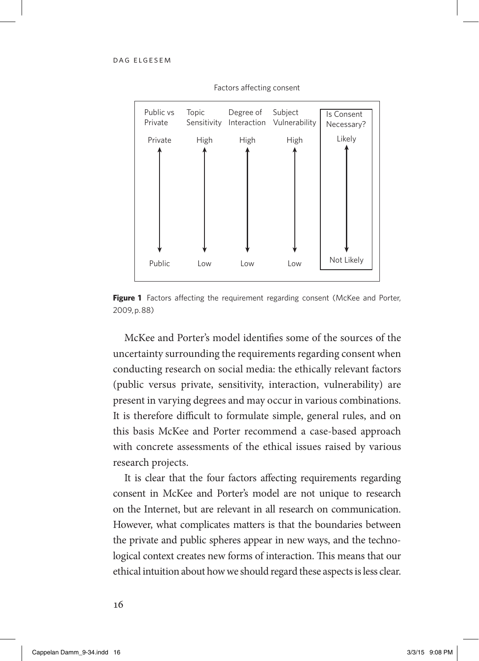

Factors affecting consent

Figure 1 Factors affecting the requirement regarding consent (McKee and Porter, 2009, p. 88)

McKee and Porter's model identifies some of the sources of the uncertainty surrounding the requirements regarding consent when conducting research on social media: the ethically relevant factors (public versus private, sensitivity, interaction, vulnerability) are present in varying degrees and may occur in various combinations. It is therefore difficult to formulate simple, general rules, and on this basis McKee and Porter recommend a case-based approach with concrete assessments of the ethical issues raised by various research projects.

It is clear that the four factors affecting requirements regarding consent in McKee and Porter's model are not unique to research on the Internet, but are relevant in all research on communication. However, what complicates matters is that the boundaries between the private and public spheres appear in new ways, and the technological context creates new forms of interaction. This means that our ethical intuition about how we should regard these aspects is less clear.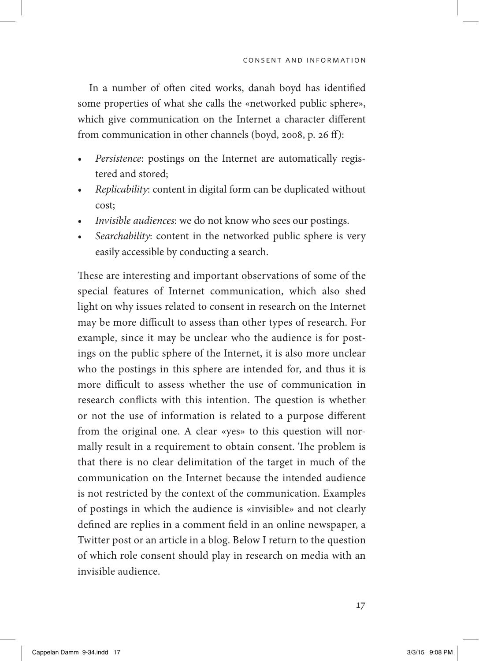In a number of often cited works, danah boyd has identified some properties of what she calls the «networked public sphere», which give communication on the Internet a character different from communication in other channels (boyd, 2008, p. 26 ff):

- • *Persistence*: postings on the Internet are automatically registered and stored;
- • *Replicability*: content in digital form can be duplicated without cost;
- • *Invisible audiences*: we do not know who sees our postings.
- • *Searchability*: content in the networked public sphere is very easily accessible by conducting a search.

These are interesting and important observations of some of the special features of Internet communication, which also shed light on why issues related to consent in research on the Internet may be more difficult to assess than other types of research. For example, since it may be unclear who the audience is for postings on the public sphere of the Internet, it is also more unclear who the postings in this sphere are intended for, and thus it is more difficult to assess whether the use of communication in research conflicts with this intention. The question is whether or not the use of information is related to a purpose different from the original one. A clear «yes» to this question will normally result in a requirement to obtain consent. The problem is that there is no clear delimitation of the target in much of the communication on the Internet because the intended audience is not restricted by the context of the communication. Examples of postings in which the audience is «invisible» and not clearly defined are replies in a comment field in an online newspaper, a Twitter post or an article in a blog. Below I return to the question of which role consent should play in research on media with an invisible audience.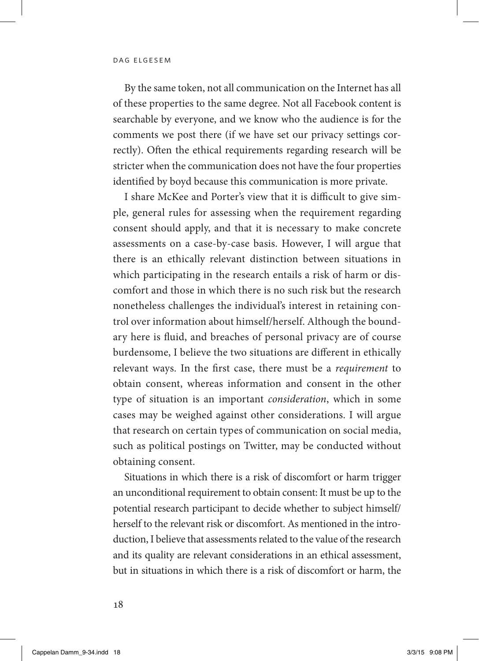By the same token, not all communication on the Internet has all of these properties to the same degree. Not all Facebook content is searchable by everyone, and we know who the audience is for the comments we post there (if we have set our privacy settings correctly). Often the ethical requirements regarding research will be stricter when the communication does not have the four properties identified by boyd because this communication is more private.

I share McKee and Porter's view that it is difficult to give simple, general rules for assessing when the requirement regarding consent should apply, and that it is necessary to make concrete assessments on a case-by-case basis. However, I will argue that there is an ethically relevant distinction between situations in which participating in the research entails a risk of harm or discomfort and those in which there is no such risk but the research nonetheless challenges the individual's interest in retaining control over information about himself/herself. Although the boundary here is fluid, and breaches of personal privacy are of course burdensome, I believe the two situations are different in ethically relevant ways. In the first case, there must be a *requirement* to obtain consent, whereas information and consent in the other type of situation is an important *consideration*, which in some cases may be weighed against other considerations. I will argue that research on certain types of communication on social media, such as political postings on Twitter, may be conducted without obtaining consent.

Situations in which there is a risk of discomfort or harm trigger an unconditional requirement to obtain consent: It must be up to the potential research participant to decide whether to subject himself/ herself to the relevant risk or discomfort. As mentioned in the introduction, I believe that assessments related to the value of the research and its quality are relevant considerations in an ethical assessment, but in situations in which there is a risk of discomfort or harm, the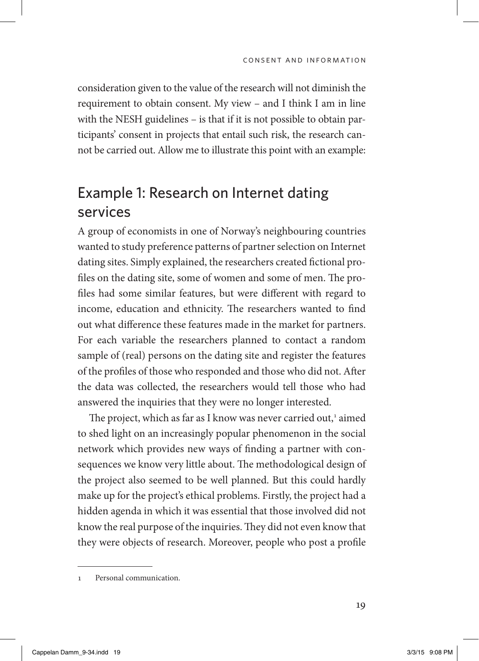consideration given to the value of the research will not diminish the requirement to obtain consent. My view – and I think I am in line with the NESH guidelines – is that if it is not possible to obtain participants' consent in projects that entail such risk, the research cannot be carried out. Allow me to illustrate this point with an example:

#### Example 1: Research on Internet dating services

A group of economists in one of Norway's neighbouring countries wanted to study preference patterns of partner selection on Internet dating sites. Simply explained, the researchers created fictional profiles on the dating site, some of women and some of men. The profiles had some similar features, but were different with regard to income, education and ethnicity. The researchers wanted to find out what difference these features made in the market for partners. For each variable the researchers planned to contact a random sample of (real) persons on the dating site and register the features of the profiles of those who responded and those who did not. After the data was collected, the researchers would tell those who had answered the inquiries that they were no longer interested.

The project, which as far as I know was never carried out,<sup>1</sup> aimed to shed light on an increasingly popular phenomenon in the social network which provides new ways of finding a partner with consequences we know very little about. The methodological design of the project also seemed to be well planned. But this could hardly make up for the project's ethical problems. Firstly, the project had a hidden agenda in which it was essential that those involved did not know the real purpose of the inquiries. They did not even know that they were objects of research. Moreover, people who post a profile

<sup>1</sup> Personal communication.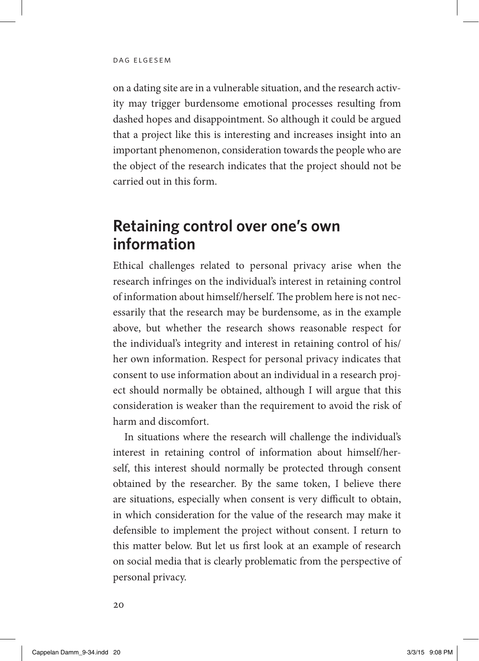on a dating site are in a vulnerable situation, and the research activity may trigger burdensome emotional processes resulting from dashed hopes and disappointment. So although it could be argued that a project like this is interesting and increases insight into an important phenomenon, consideration towards the people who are the object of the research indicates that the project should not be carried out in this form.

## **Retaining control over one's own information**

Ethical challenges related to personal privacy arise when the research infringes on the individual's interest in retaining control of information about himself/herself. The problem here is not necessarily that the research may be burdensome, as in the example above, but whether the research shows reasonable respect for the individual's integrity and interest in retaining control of his/ her own information. Respect for personal privacy indicates that consent to use information about an individual in a research project should normally be obtained, although I will argue that this consideration is weaker than the requirement to avoid the risk of harm and discomfort.

In situations where the research will challenge the individual's interest in retaining control of information about himself/herself, this interest should normally be protected through consent obtained by the researcher. By the same token, I believe there are situations, especially when consent is very difficult to obtain, in which consideration for the value of the research may make it defensible to implement the project without consent. I return to this matter below. But let us first look at an example of research on social media that is clearly problematic from the perspective of personal privacy.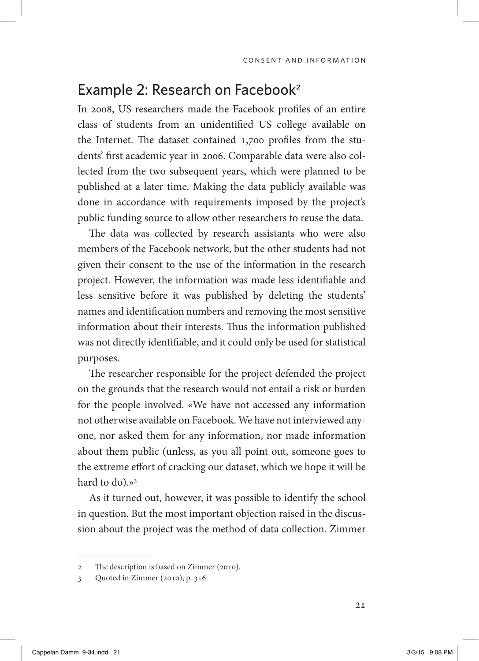#### Example 2: Research on Facebook<sup>2</sup>

In 2008, US researchers made the Facebook profiles of an entire class of students from an unidentified US college available on the Internet. The dataset contained 1,700 profiles from the students' first academic year in 2006. Comparable data were also collected from the two subsequent years, which were planned to be published at a later time. Making the data publicly available was done in accordance with requirements imposed by the project's public funding source to allow other researchers to reuse the data.

The data was collected by research assistants who were also members of the Facebook network, but the other students had not given their consent to the use of the information in the research project. However, the information was made less identifiable and less sensitive before it was published by deleting the students' names and identification numbers and removing the most sensitive information about their interests. Thus the information published was not directly identifiable, and it could only be used for statistical purposes.

The researcher responsible for the project defended the project on the grounds that the research would not entail a risk or burden for the people involved. «We have not accessed any information not otherwise available on Facebook. We have not interviewed anyone, nor asked them for any information, nor made information about them public (unless, as you all point out, someone goes to the extreme effort of cracking our dataset, which we hope it will be hard to  $d$ o).»<sup>3</sup>

As it turned out, however, it was possible to identify the school in question. But the most important objection raised in the discussion about the project was the method of data collection. Zimmer

<sup>2</sup> The description is based on Zimmer (2010).

<sup>3</sup> Quoted in Zimmer (2010), p. 316.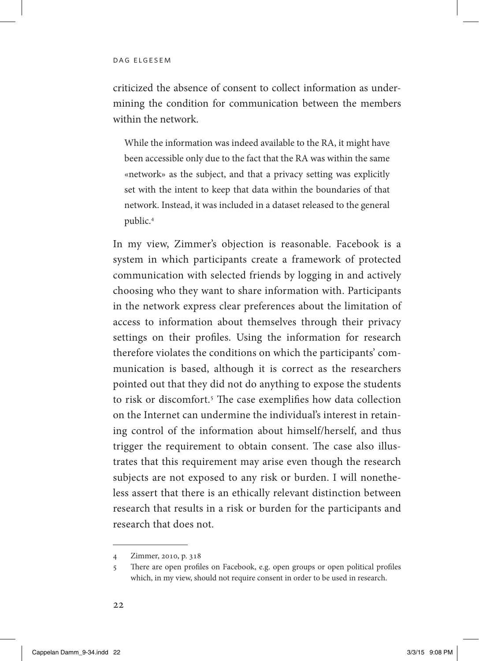criticized the absence of consent to collect information as undermining the condition for communication between the members within the network.

While the information was indeed available to the RA, it might have been accessible only due to the fact that the RA was within the same «network» as the subject, and that a privacy setting was explicitly set with the intent to keep that data within the boundaries of that network. Instead, it was included in a dataset released to the general public.4

In my view, Zimmer's objection is reasonable. Facebook is a system in which participants create a framework of protected communication with selected friends by logging in and actively choosing who they want to share information with. Participants in the network express clear preferences about the limitation of access to information about themselves through their privacy settings on their profiles. Using the information for research therefore violates the conditions on which the participants' communication is based, although it is correct as the researchers pointed out that they did not do anything to expose the students to risk or discomfort.<sup>5</sup> The case exemplifies how data collection on the Internet can undermine the individual's interest in retaining control of the information about himself/herself, and thus trigger the requirement to obtain consent. The case also illustrates that this requirement may arise even though the research subjects are not exposed to any risk or burden. I will nonetheless assert that there is an ethically relevant distinction between research that results in a risk or burden for the participants and research that does not.

<sup>4</sup> Zimmer, 2010, p. 318

<sup>5</sup> There are open profiles on Facebook, e.g. open groups or open political profiles which, in my view, should not require consent in order to be used in research.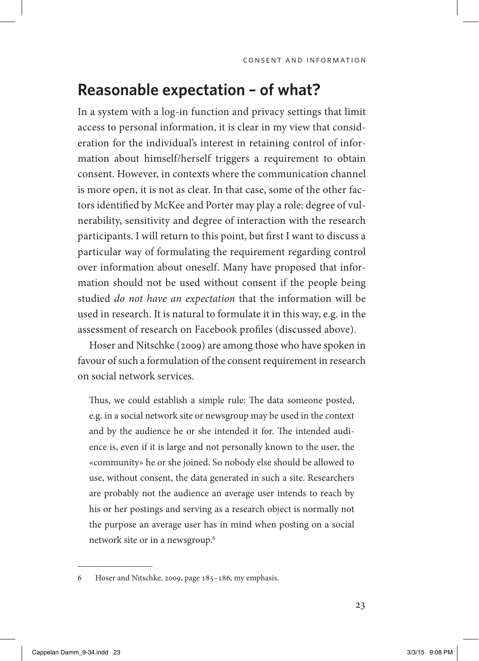#### **Reasonable expectation – of what?**

In a system with a log-in function and privacy settings that limit access to personal information, it is clear in my view that consideration for the individual's interest in retaining control of information about himself/herself triggers a requirement to obtain consent. However, in contexts where the communication channel is more open, it is not as clear. In that case, some of the other factors identified by McKee and Porter may play a role: degree of vulnerability, sensitivity and degree of interaction with the research participants. I will return to this point, but first I want to discuss a particular way of formulating the requirement regarding control over information about oneself. Many have proposed that information should not be used without consent if the people being studied *do not have an expectation* that the information will be used in research. It is natural to formulate it in this way, e.g. in the assessment of research on Facebook profiles (discussed above).

Hoser and Nitschke (2009) are among those who have spoken in favour of such a formulation of the consent requirement in research on social network services.

Thus, we could establish a simple rule: The data someone posted, e.g. in a social network site or newsgroup may be used in the context and by the audience he or she intended it for. The intended audience is, even if it is large and not personally known to the user, the «community» he or she joined. So nobody else should be allowed to use, without consent, the data generated in such a site. Researchers are probably not the audience an average user intends to reach by his or her postings and serving as a research object is normally not the purpose an average user has in mind when posting on a social network site or in a newsgroup.6

<sup>6</sup> Hoser and Nitschke, 2009, page 185–186, my emphasis.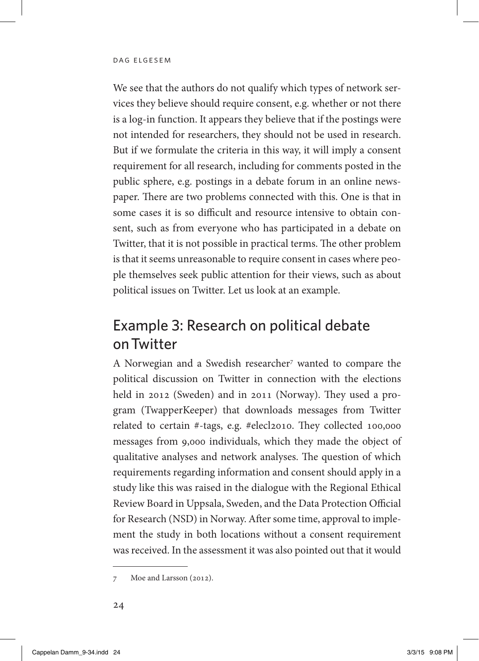We see that the authors do not qualify which types of network services they believe should require consent, e.g. whether or not there is a log-in function. It appears they believe that if the postings were not intended for researchers, they should not be used in research. But if we formulate the criteria in this way, it will imply a consent requirement for all research, including for comments posted in the public sphere, e.g. postings in a debate forum in an online newspaper. There are two problems connected with this. One is that in some cases it is so difficult and resource intensive to obtain consent, such as from everyone who has participated in a debate on Twitter, that it is not possible in practical terms. The other problem is that it seems unreasonable to require consent in cases where people themselves seek public attention for their views, such as about political issues on Twitter. Let us look at an example.

# Example 3: Research on political debate on Twitter

A Norwegian and a Swedish researcher<sup>7</sup> wanted to compare the political discussion on Twitter in connection with the elections held in 2012 (Sweden) and in 2011 (Norway). They used a program (TwapperKeeper) that downloads messages from Twitter related to certain #-tags, e.g. #elecl2010. They collected 100,000 messages from 9,000 individuals, which they made the object of qualitative analyses and network analyses. The question of which requirements regarding information and consent should apply in a study like this was raised in the dialogue with the Regional Ethical Review Board in Uppsala, Sweden, and the Data Protection Official for Research (NSD) in Norway. After some time, approval to implement the study in both locations without a consent requirement was received. In the assessment it was also pointed out that it would

<sup>7</sup> Moe and Larsson (2012).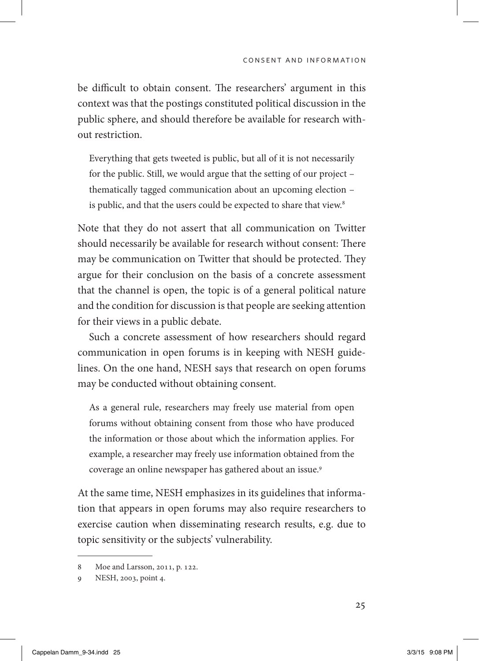be difficult to obtain consent. The researchers' argument in this context was that the postings constituted political discussion in the public sphere, and should therefore be available for research without restriction.

Everything that gets tweeted is public, but all of it is not necessarily for the public. Still, we would argue that the setting of our project – thematically tagged communication about an upcoming election – is public, and that the users could be expected to share that view.<sup>8</sup>

Note that they do not assert that all communication on Twitter should necessarily be available for research without consent: There may be communication on Twitter that should be protected. They argue for their conclusion on the basis of a concrete assessment that the channel is open, the topic is of a general political nature and the condition for discussion is that people are seeking attention for their views in a public debate.

Such a concrete assessment of how researchers should regard communication in open forums is in keeping with NESH guidelines. On the one hand, NESH says that research on open forums may be conducted without obtaining consent.

As a general rule, researchers may freely use material from open forums without obtaining consent from those who have produced the information or those about which the information applies. For example, a researcher may freely use information obtained from the coverage an online newspaper has gathered about an issue.9

At the same time, NESH emphasizes in its guidelines that information that appears in open forums may also require researchers to exercise caution when disseminating research results, e.g. due to topic sensitivity or the subjects' vulnerability.

<sup>8</sup> Moe and Larsson, 2011, p. 122.

<sup>9</sup> NESH, 2003, point 4.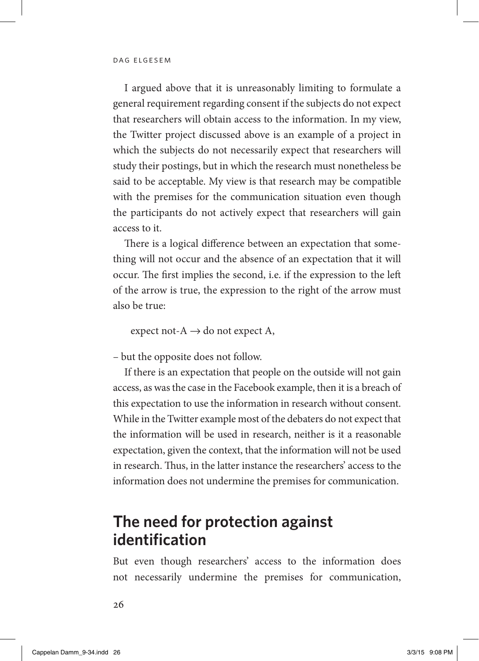I argued above that it is unreasonably limiting to formulate a general requirement regarding consent if the subjects do not expect that researchers will obtain access to the information. In my view, the Twitter project discussed above is an example of a project in which the subjects do not necessarily expect that researchers will study their postings, but in which the research must nonetheless be said to be acceptable. My view is that research may be compatible with the premises for the communication situation even though the participants do not actively expect that researchers will gain access to it.

There is a logical difference between an expectation that something will not occur and the absence of an expectation that it will occur. The first implies the second, i.e. if the expression to the left of the arrow is true, the expression to the right of the arrow must also be true:

expect not- $A \rightarrow do$  not expect A,

– but the opposite does not follow.

If there is an expectation that people on the outside will not gain access, as was the case in the Facebook example, then it is a breach of this expectation to use the information in research without consent. While in the Twitter example most of the debaters do not expect that the information will be used in research, neither is it a reasonable expectation, given the context, that the information will not be used in research. Thus, in the latter instance the researchers' access to the information does not undermine the premises for communication.

## **The need for protection against identification**

But even though researchers' access to the information does not necessarily undermine the premises for communication,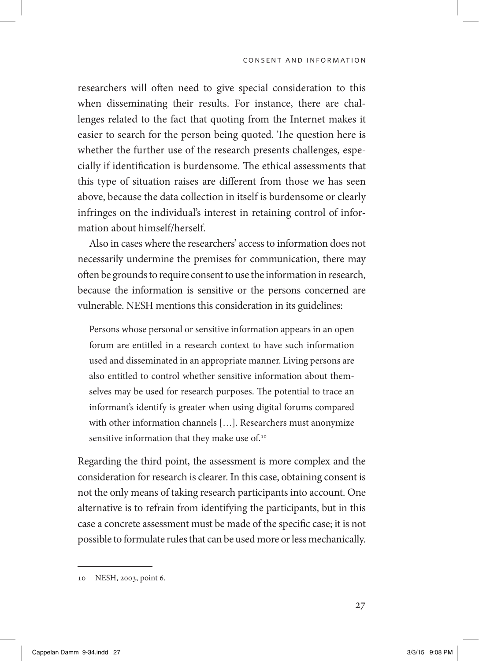researchers will often need to give special consideration to this when disseminating their results. For instance, there are challenges related to the fact that quoting from the Internet makes it easier to search for the person being quoted. The question here is whether the further use of the research presents challenges, especially if identification is burdensome. The ethical assessments that this type of situation raises are different from those we has seen above, because the data collection in itself is burdensome or clearly infringes on the individual's interest in retaining control of information about himself/herself.

Also in cases where the researchers' access to information does not necessarily undermine the premises for communication, there may often be grounds to require consent to use the information in research, because the information is sensitive or the persons concerned are vulnerable. NESH mentions this consideration in its guidelines:

Persons whose personal or sensitive information appears in an open forum are entitled in a research context to have such information used and disseminated in an appropriate manner. Living persons are also entitled to control whether sensitive information about themselves may be used for research purposes. The potential to trace an informant's identify is greater when using digital forums compared with other information channels […]. Researchers must anonymize sensitive information that they make use of.<sup>10</sup>

Regarding the third point, the assessment is more complex and the consideration for research is clearer. In this case, obtaining consent is not the only means of taking research participants into account. One alternative is to refrain from identifying the participants, but in this case a concrete assessment must be made of the specific case; it is not possible to formulate rules that can be used more or less mechanically.

<sup>10</sup> NESH, 2003, point 6.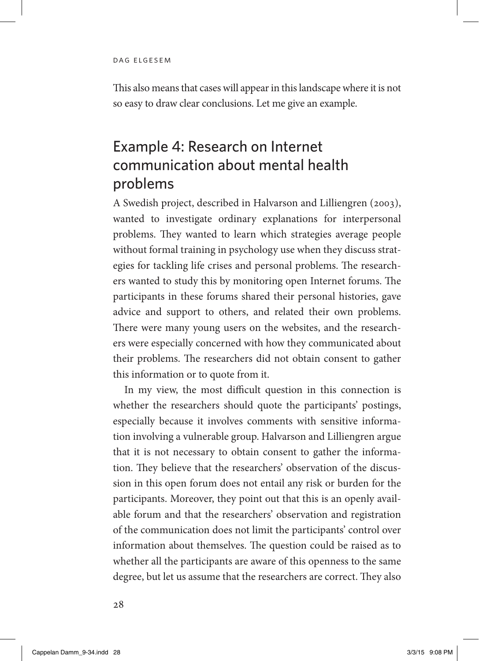This also means that cases will appear in this landscape where it is not so easy to draw clear conclusions. Let me give an example.

#### Example 4: Research on Internet communication about mental health problems

A Swedish project, described in Halvarson and Lilliengren (2003), wanted to investigate ordinary explanations for interpersonal problems. They wanted to learn which strategies average people without formal training in psychology use when they discuss strategies for tackling life crises and personal problems. The researchers wanted to study this by monitoring open Internet forums. The participants in these forums shared their personal histories, gave advice and support to others, and related their own problems. There were many young users on the websites, and the researchers were especially concerned with how they communicated about their problems. The researchers did not obtain consent to gather this information or to quote from it.

In my view, the most difficult question in this connection is whether the researchers should quote the participants' postings, especially because it involves comments with sensitive information involving a vulnerable group. Halvarson and Lilliengren argue that it is not necessary to obtain consent to gather the information. They believe that the researchers' observation of the discussion in this open forum does not entail any risk or burden for the participants. Moreover, they point out that this is an openly available forum and that the researchers' observation and registration of the communication does not limit the participants' control over information about themselves. The question could be raised as to whether all the participants are aware of this openness to the same degree, but let us assume that the researchers are correct. They also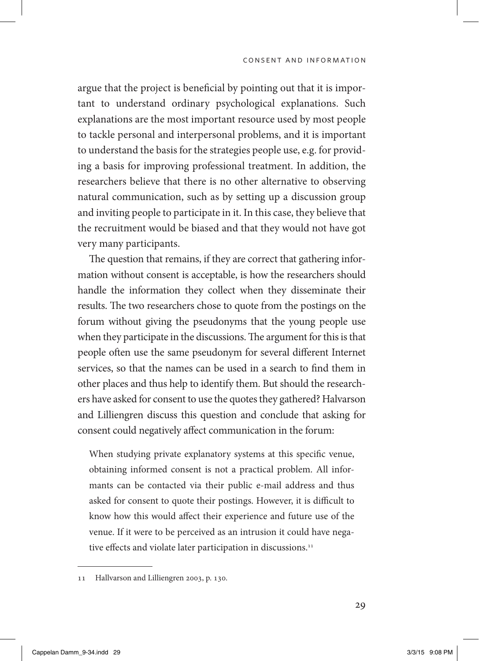argue that the project is beneficial by pointing out that it is important to understand ordinary psychological explanations. Such explanations are the most important resource used by most people to tackle personal and interpersonal problems, and it is important to understand the basis for the strategies people use, e.g. for providing a basis for improving professional treatment. In addition, the researchers believe that there is no other alternative to observing natural communication, such as by setting up a discussion group and inviting people to participate in it. In this case, they believe that the recruitment would be biased and that they would not have got very many participants.

The question that remains, if they are correct that gathering information without consent is acceptable, is how the researchers should handle the information they collect when they disseminate their results. The two researchers chose to quote from the postings on the forum without giving the pseudonyms that the young people use when they participate in the discussions. The argument for this is that people often use the same pseudonym for several different Internet services, so that the names can be used in a search to find them in other places and thus help to identify them. But should the researchers have asked for consent to use the quotes they gathered? Halvarson and Lilliengren discuss this question and conclude that asking for consent could negatively affect communication in the forum:

When studying private explanatory systems at this specific venue, obtaining informed consent is not a practical problem. All informants can be contacted via their public e-mail address and thus asked for consent to quote their postings. However, it is difficult to know how this would affect their experience and future use of the venue. If it were to be perceived as an intrusion it could have negative effects and violate later participation in discussions.<sup>11</sup>

<sup>11</sup> Hallvarson and Lilliengren 2003, p. 130.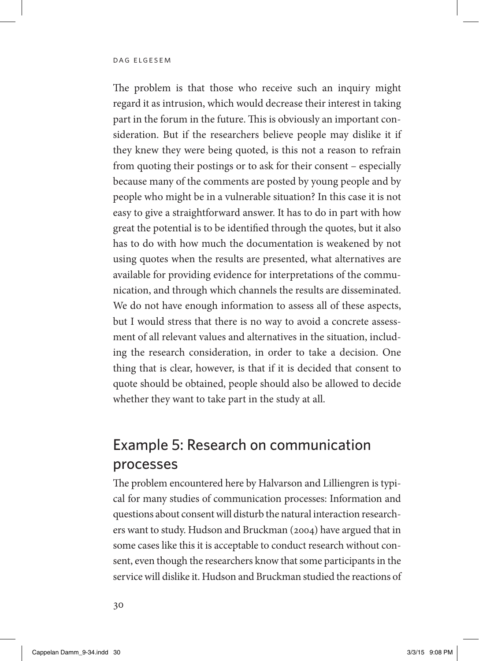dag elgesem

The problem is that those who receive such an inquiry might regard it as intrusion, which would decrease their interest in taking part in the forum in the future. This is obviously an important consideration. But if the researchers believe people may dislike it if they knew they were being quoted, is this not a reason to refrain from quoting their postings or to ask for their consent – especially because many of the comments are posted by young people and by people who might be in a vulnerable situation? In this case it is not easy to give a straightforward answer. It has to do in part with how great the potential is to be identified through the quotes, but it also has to do with how much the documentation is weakened by not using quotes when the results are presented, what alternatives are available for providing evidence for interpretations of the communication, and through which channels the results are disseminated. We do not have enough information to assess all of these aspects, but I would stress that there is no way to avoid a concrete assessment of all relevant values and alternatives in the situation, including the research consideration, in order to take a decision. One thing that is clear, however, is that if it is decided that consent to quote should be obtained, people should also be allowed to decide whether they want to take part in the study at all.

## Example 5: Research on communication processes

The problem encountered here by Halvarson and Lilliengren is typical for many studies of communication processes: Information and questions about consent will disturb the natural interaction researchers want to study. Hudson and Bruckman (2004) have argued that in some cases like this it is acceptable to conduct research without consent, even though the researchers know that some participants in the service will dislike it. Hudson and Bruckman studied the reactions of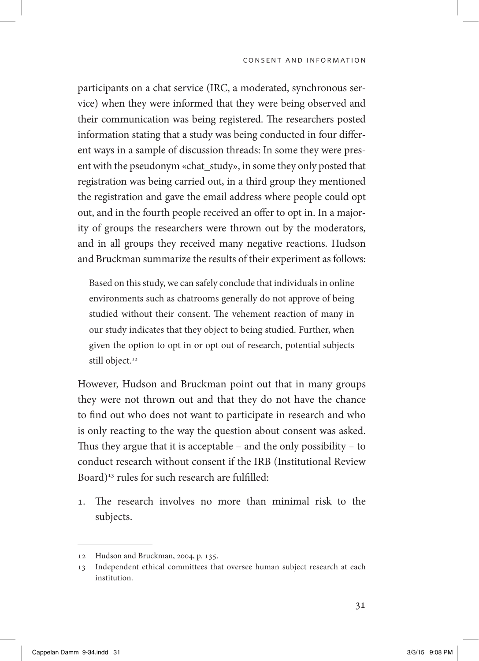participants on a chat service (IRC, a moderated, synchronous service) when they were informed that they were being observed and their communication was being registered. The researchers posted information stating that a study was being conducted in four different ways in a sample of discussion threads: In some they were present with the pseudonym «chat\_study», in some they only posted that registration was being carried out, in a third group they mentioned the registration and gave the email address where people could opt out, and in the fourth people received an offer to opt in. In a majority of groups the researchers were thrown out by the moderators, and in all groups they received many negative reactions. Hudson and Bruckman summarize the results of their experiment as follows:

Based on this study, we can safely conclude that individuals in online environments such as chatrooms generally do not approve of being studied without their consent. The vehement reaction of many in our study indicates that they object to being studied. Further, when given the option to opt in or opt out of research, potential subjects still object.<sup>12</sup>

However, Hudson and Bruckman point out that in many groups they were not thrown out and that they do not have the chance to find out who does not want to participate in research and who is only reacting to the way the question about consent was asked. Thus they argue that it is acceptable – and the only possibility – to conduct research without consent if the IRB (Institutional Review Board)<sup>13</sup> rules for such research are fulfilled:

1. The research involves no more than minimal risk to the subjects.

<sup>12</sup> Hudson and Bruckman, 2004, p. 135.

<sup>13</sup> Independent ethical committees that oversee human subject research at each institution.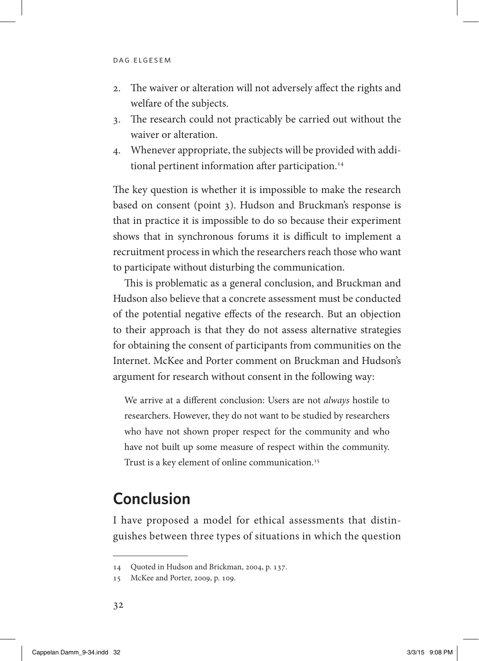- 2. The waiver or alteration will not adversely affect the rights and welfare of the subjects.
- 3. The research could not practicably be carried out without the waiver or alteration.
- 4. Whenever appropriate, the subjects will be provided with additional pertinent information after participation.<sup>14</sup>

The key question is whether it is impossible to make the research based on consent (point 3). Hudson and Bruckman's response is that in practice it is impossible to do so because their experiment shows that in synchronous forums it is difficult to implement a recruitment process in which the researchers reach those who want to participate without disturbing the communication.

This is problematic as a general conclusion, and Bruckman and Hudson also believe that a concrete assessment must be conducted of the potential negative effects of the research. But an objection to their approach is that they do not assess alternative strategies for obtaining the consent of participants from communities on the Internet. McKee and Porter comment on Bruckman and Hudson's argument for research without consent in the following way:

We arrive at a different conclusion: Users are not *always* hostile to researchers. However, they do not want to be studied by researchers who have not shown proper respect for the community and who have not built up some measure of respect within the community. Trust is a key element of online communication.<sup>15</sup>

## **Conclusion**

I have proposed a model for ethical assessments that distinguishes between three types of situations in which the question

<sup>14</sup> Quoted in Hudson and Brickman, 2004, p. 137.

<sup>15</sup> McKee and Porter, 2009, p. 109.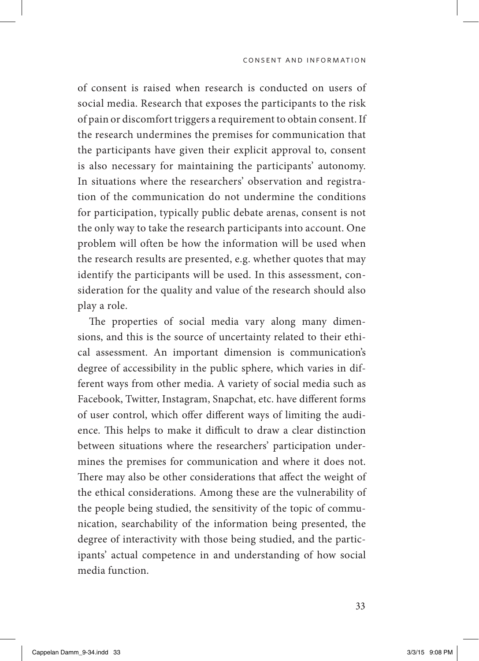of consent is raised when research is conducted on users of social media. Research that exposes the participants to the risk of pain or discomfort triggers a requirement to obtain consent. If the research undermines the premises for communication that the participants have given their explicit approval to, consent is also necessary for maintaining the participants' autonomy. In situations where the researchers' observation and registration of the communication do not undermine the conditions for participation, typically public debate arenas, consent is not the only way to take the research participants into account. One problem will often be how the information will be used when the research results are presented, e.g. whether quotes that may identify the participants will be used. In this assessment, consideration for the quality and value of the research should also play a role.

The properties of social media vary along many dimensions, and this is the source of uncertainty related to their ethical assessment. An important dimension is communication's degree of accessibility in the public sphere, which varies in different ways from other media. A variety of social media such as Facebook, Twitter, Instagram, Snapchat, etc. have different forms of user control, which offer different ways of limiting the audience. This helps to make it difficult to draw a clear distinction between situations where the researchers' participation undermines the premises for communication and where it does not. There may also be other considerations that affect the weight of the ethical considerations. Among these are the vulnerability of the people being studied, the sensitivity of the topic of communication, searchability of the information being presented, the degree of interactivity with those being studied, and the participants' actual competence in and understanding of how social media function.

33